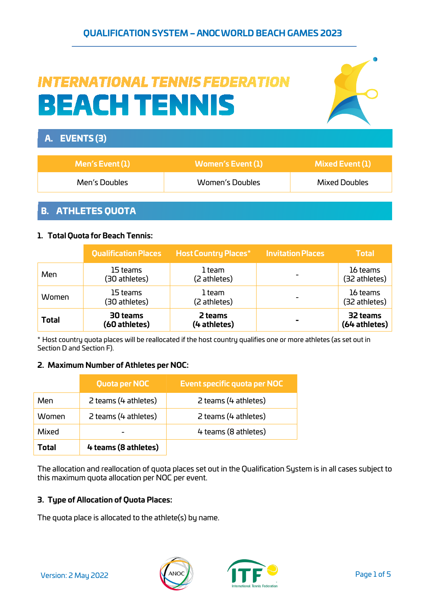## **QUALIFICATION SYSTEM – ANOC WORLD BEACH GAMES 2023**

# **INTERNATIONAL TENNIS FEDERATION BEACH TENNIS**



# A. EVENTS (3) **Men's Event(1) Women's Event (1) Mixed Event (1)** Men's Doubles Women's Doubles Mixed Doubles

#### B. ATHLETES QUOTA

#### **1. Total Quota for Beach Tennis:**

|              | <b>Qualification Places</b> | <b>Host Country Places*</b> | <b>Invitation Places</b> | <b>Total</b>              |
|--------------|-----------------------------|-----------------------------|--------------------------|---------------------------|
| Men          | 15 teams<br>(30 athletes)   | 1 team<br>(2 athletes)      |                          | 16 teams<br>(32 athletes) |
| Women        | 15 teams<br>(30 athletes)   | 1 team<br>(2 athletes)      |                          | 16 teams<br>(32 athletes) |
| <b>Total</b> | 30 teams<br>(60 athletes)   | 2 teams<br>(4 athletes)     |                          | 32 teams<br>(64 athletes) |

\* Host country quota places will be reallocated if the host country qualifies one or more athletes (as set out in Section D and Section F).

#### **2. Maximum Number of Athletes per NOC:**

|       | Quota per NOC        | Event specific quota per NOC |
|-------|----------------------|------------------------------|
| Men   | 2 teams (4 athletes) | 2 teams (4 athletes)         |
| Women | 2 teams (4 athletes) | 2 teams (4 athletes)         |
| Mixed |                      | 4 teams (8 athletes)         |
| Total | 4 teams (8 athletes) |                              |

The allocation and reallocation of quota places set out in the Qualification System is in all cases subject to this maximum quota allocation per NOC per event.

#### **3. Type of Allocation of Quota Places:**

The quota place is allocated to the athlete(s) by name.



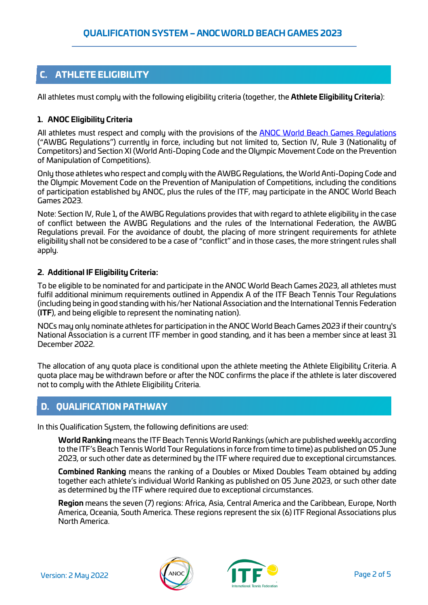# C. ATHLETE ELIGIBILITY

All athletes must comply with the following eligibility criteria (together, the **Athlete Eligibility Criteria**):

#### **1. ANOC Eligibility Criteria**

All athletes must respect and comply with the provisions of the **ANOC World Beach Games Regulations** ("AWBG Regulations") currently in force, including but not limited to, Section IV, Rule 3 (Nationality of Competitors) and Section XI (World Anti-Doping Code and the Olympic Movement Code on the Prevention of Manipulation of Competitions).

Only those athletes who respect and comply with the AWBG Regulations, the World Anti-Doping Code and the Olympic Movement Code on the Prevention of Manipulation of Competitions, including the conditions of participation established by ANOC, plus the rules of the ITF, may participate in the ANOC World Beach Games 2023.

Note: Section IV, Rule 1, of the AWBG Regulations provides that with regard to athlete eligibility in the case of conflict between the AWBG Regulations and the rules of the International Federation, the AWBG Regulations prevail. For the avoidance of doubt, the placing of more stringent requirements for athlete eligibility shall not be considered to be a case of "conflict" and in those cases, the more stringent rules shall apply.

#### **2. Additional IF Eligibility Criteria:**

To be eligible to be nominated for and participate in the ANOC World Beach Games 2023, all athletes must fulfil additional minimum requirements outlined in Appendix A of the ITF Beach Tennis Tour Regulations (including being in good standing with his/her National Association and the International Tennis Federation (**ITF**), and being eligible to represent the nominating nation).

NOCs may only nominate athletes for participation in the ANOC World Beach Games 2023 if their country's National Association is a current ITF member in good standing, and it has been a member since at least 31 December 2022.

The allocation of any quota place is conditional upon the athlete meeting the Athlete Eligibility Criteria. A quota place may be withdrawn before or after the NOC confirms the place if the athlete is later discovered not to comply with the Athlete Eligibility Criteria.

## D. QUALIFICATION PATHWAY

In this Qualification System, the following definitions are used:

**World Ranking** means the ITF Beach Tennis World Rankings (which are published weekly according to the ITF's Beach Tennis World Tour Regulations in force from time to time) as published on 05 June 2023, or such other date as determined by the ITF where required due to exceptional circumstances.

**Combined Ranking** means the ranking of a Doubles or Mixed Doubles Team obtained by adding together each athlete's individual World Ranking as published on 05 June 2023, or such other date as determined by the ITF where required due to exceptional circumstances.

**Region** means the seven (7) regions: Africa, Asia, Central America and the Caribbean, Europe, North America, Oceania, South America. These regions represent the six (6) ITF Regional Associations plus North America.



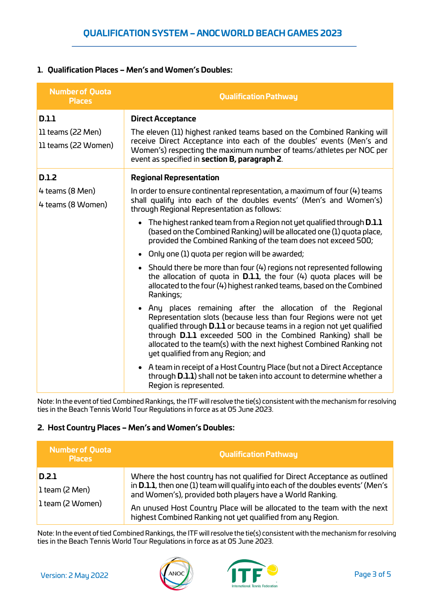#### **1. Qualification Places – Men's and Women's Doubles:**

| <b>Number of Quota</b><br><b>Places</b>    | <b>Qualification Pathway</b>                                                                                                                                                                                                                                                                                                                                                                   |
|--------------------------------------------|------------------------------------------------------------------------------------------------------------------------------------------------------------------------------------------------------------------------------------------------------------------------------------------------------------------------------------------------------------------------------------------------|
| D.1.1                                      | <b>Direct Acceptance</b>                                                                                                                                                                                                                                                                                                                                                                       |
| $ll$ teams (22 Men)<br>11 teams (22 Women) | The eleven (11) highest ranked teams based on the Combined Ranking will<br>receive Direct Acceptance into each of the doubles' events (Men's and<br>Women's) respecting the maximum number of teams/athletes per NOC per<br>event as specified in section B, paragraph 2.                                                                                                                      |
| <b>D.1.2</b>                               | <b>Regional Representation</b>                                                                                                                                                                                                                                                                                                                                                                 |
| 4 teams (8 Men)<br>4 teams (8 Women)       | In order to ensure continental representation, a maximum of four $(4)$ teams<br>shall qualify into each of the doubles events' (Men's and Women's)<br>through Regional Representation as follows:                                                                                                                                                                                              |
|                                            | $\bullet$ The highest ranked team from a Region not yet qualified through <b>D.1.1</b><br>(based on the Combined Ranking) will be allocated one (1) quota place,<br>provided the Combined Ranking of the team does not exceed 500;                                                                                                                                                             |
|                                            | • Only one $(1)$ quota per region will be awarded;                                                                                                                                                                                                                                                                                                                                             |
|                                            | • Should there be more than four $(4)$ regions not represented following<br>the allocation of quota in $D.1.1$ , the four $(4)$ quota places will be<br>allocated to the four (4) highest ranked teams, based on the Combined<br>Rankings;                                                                                                                                                     |
|                                            | • Any places remaining after the allocation of the Regional<br>Representation slots (because less than four Regions were not yet<br>qualified through <b>D.1.1</b> or because teams in a region not yet qualified<br>through D.1.1 exceeded 500 in the Combined Ranking) shall be<br>allocated to the team(s) with the next highest Combined Ranking not<br>yet qualified from any Region; and |
|                                            | • A team in receipt of a Host Country Place (but not a Direct Acceptance<br>through <b>D.1.1</b> ) shall not be taken into account to determine whether a<br>Region is represented.                                                                                                                                                                                                            |

Note: In the event of tied Combined Rankings, the ITF will resolve the tie(s) consistent with the mechanism for resolving ties in the Beach Tennis World Tour Regulations in force as at 05 June 2023.

#### **2. Host Country Places – Men's and Women's Doubles:**

| <b>Number of Quota</b><br><b>Places</b>       | <b>Qualification Pathway</b>                                                                                                                                                                                                                                                                                                                                                   |
|-----------------------------------------------|--------------------------------------------------------------------------------------------------------------------------------------------------------------------------------------------------------------------------------------------------------------------------------------------------------------------------------------------------------------------------------|
| D.2.1<br>$l$ team (2 Men)<br>1 team (2 Women) | Where the host country has not qualified for Direct Acceptance as outlined<br>in <b>D.1.1</b> , then one (1) team will qualify into each of the doubles events' (Men's<br>and Women's), provided both players have a World Ranking.<br>An unused Host Country Place will be allocated to the team with the next<br>highest Combined Ranking not yet qualified from any Region. |

Note: In the event of tied Combined Rankings, the ITF will resolve the tie(s) consistent with the mechanism for resolving ties in the Beach Tennis World Tour Regulations in force as at 05 June 2023.



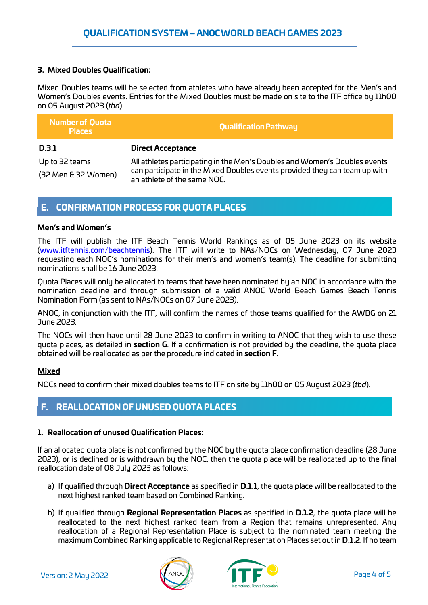#### **3. Mixed Doubles Qualification:**

Mixed Doubles teams will be selected from athletes who have already been accepted for the Men's and Women's Doubles events. Entries for the Mixed Doubles must be made on site to the ITF office by 11h00 on 05 August 2023 (*tbd*).

| <b>Number of Quota</b><br><b>Places</b> | <b>Qualification Pathway</b>                                                                                                                                                            |
|-----------------------------------------|-----------------------------------------------------------------------------------------------------------------------------------------------------------------------------------------|
| D.3.1                                   | <b>Direct Acceptance</b>                                                                                                                                                                |
| Up to 32 teams<br>(32 Men & 32 Women)   | All athletes participating in the Men's Doubles and Women's Doubles events<br>can participate in the Mixed Doubles events provided they can team up with<br>an athlete of the same NOC. |

#### E. CONFIRMATION PROCESS FOR QUOTA PLACES

#### **Men's and Women's**

The ITF will publish the ITF Beach Tennis World Rankings as of 05 June 2023 on its website [\(www.itftennis.com/beachtennis\)](http://www.itftennis.com/beachtennis). The ITF will write to NAs/NOCs on Wednesday, 07 June 2023 requesting each NOC's nominations for their men's and women's team(s). The deadline for submitting nominations shall be 16 June 2023.

Quota Places will only be allocated to teams that have been nominated by an NOC in accordance with the nomination deadline and through submission of a valid ANOC World Beach Games Beach Tennis Nomination Form (as sent to NAs/NOCs on 07 June 2023).

ANOC, in conjunction with the ITF, will confirm the names of those teams qualified for the AWBG on 21 June 2023.

The NOCs will then have until 28 June 2023 to confirm in writing to ANOC that they wish to use these quota places, as detailed in **section G**. If a confirmation is not provided by the deadline, the quota place obtained will be reallocated as per the procedure indicated **in section F**.

#### **Mixed**

NOCs need to confirm their mixed doubles teams to ITF on site by 11h00 on 05 August 2023 (*tbd*).

#### F. REALLOCATION OF UNUSED QUOTA PLACES

#### **1. Reallocation of unused Qualification Places:**

If an allocated quota place is not confirmed by the NOC by the quota place confirmation deadline (28 June 2023), or is declined or is withdrawn by the NOC, then the quota place will be reallocated up to the final reallocation date of 08 July 2023 as follows:

- a) If qualified through **Direct Acceptance** as specified in **D.1.1**, the quota place will be reallocated to the next highest ranked team based on Combined Ranking.
- b) If qualified through **Regional Representation Places** as specified in **D.1.2**, the quota place will be reallocated to the next highest ranked team from a Region that remains unrepresented. Any reallocation of a Regional Representation Place is subject to the nominated team meeting the maximum Combined Ranking applicable to Regional Representation Places set out in **D.1.2**. If no team